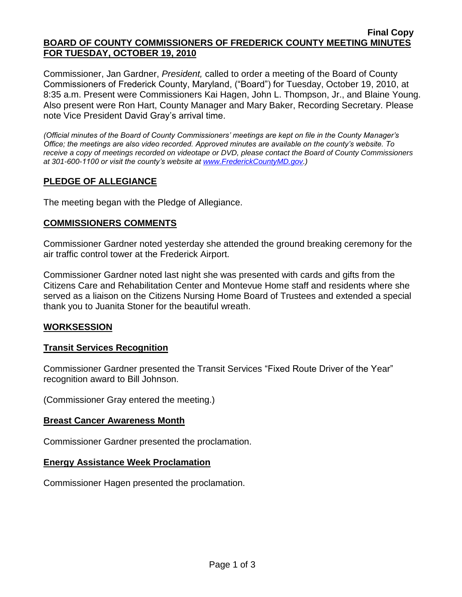#### **Final Copy BOARD OF COUNTY COMMISSIONERS OF FREDERICK COUNTY MEETING MINUTES FOR TUESDAY, OCTOBER 19, 2010**

Commissioner, Jan Gardner, *President,* called to order a meeting of the Board of County Commissioners of Frederick County, Maryland, ("Board") for Tuesday, October 19, 2010, at 8:35 a.m. Present were Commissioners Kai Hagen, John L. Thompson, Jr., and Blaine Young. Also present were Ron Hart, County Manager and Mary Baker, Recording Secretary. Please note Vice President David Gray's arrival time.

*(Official minutes of the Board of County Commissioners' meetings are kept on file in the County Manager's Office; the meetings are also video recorded. Approved minutes are available on the county's website. To receive a copy of meetings recorded on videotape or DVD, please contact the Board of County Commissioners at 301-600-1100 or visit the county's website at [www.FrederickCountyMD.gov.](http://www.frederickcountymd.gov/))*

## **PLEDGE OF ALLEGIANCE**

The meeting began with the Pledge of Allegiance.

### **COMMISSIONERS COMMENTS**

Commissioner Gardner noted yesterday she attended the ground breaking ceremony for the air traffic control tower at the Frederick Airport.

Commissioner Gardner noted last night she was presented with cards and gifts from the Citizens Care and Rehabilitation Center and Montevue Home staff and residents where she served as a liaison on the Citizens Nursing Home Board of Trustees and extended a special thank you to Juanita Stoner for the beautiful wreath.

### **WORKSESSION**

### **Transit Services Recognition**

Commissioner Gardner presented the Transit Services "Fixed Route Driver of the Year" recognition award to Bill Johnson.

(Commissioner Gray entered the meeting.)

#### **Breast Cancer Awareness Month**

Commissioner Gardner presented the proclamation.

### **Energy Assistance Week Proclamation**

Commissioner Hagen presented the proclamation.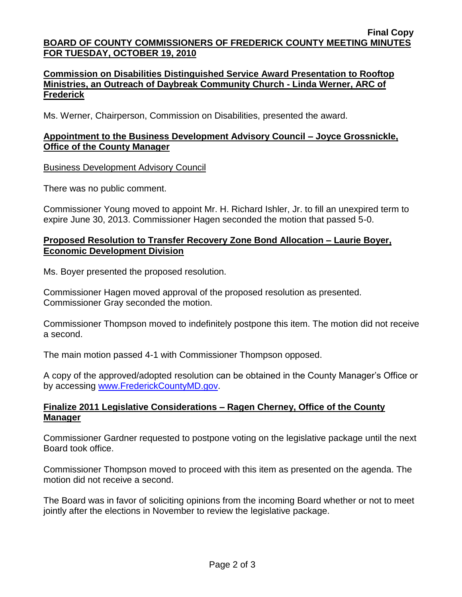### **Commission on Disabilities Distinguished Service Award Presentation to Rooftop Ministries, an Outreach of Daybreak Community Church - Linda Werner, ARC of Frederick**

Ms. Werner, Chairperson, Commission on Disabilities, presented the award.

## **Appointment to the Business Development Advisory Council – Joyce Grossnickle, Office of the County Manager**

Business Development Advisory Council

There was no public comment.

Commissioner Young moved to appoint Mr. H. Richard Ishler, Jr. to fill an unexpired term to expire June 30, 2013. Commissioner Hagen seconded the motion that passed 5-0.

### **Proposed Resolution to Transfer Recovery Zone Bond Allocation – Laurie Boyer, Economic Development Division**

Ms. Boyer presented the proposed resolution.

Commissioner Hagen moved approval of the proposed resolution as presented. Commissioner Gray seconded the motion.

Commissioner Thompson moved to indefinitely postpone this item. The motion did not receive a second.

The main motion passed 4-1 with Commissioner Thompson opposed.

A copy of the approved/adopted resolution can be obtained in the County Manager's Office or by accessing [www.FrederickCountyMD.gov.](file://NT1S5/BOCC/BOCC/BOCC%20Minutes/Mary)

## **Finalize 2011 Legislative Considerations – Ragen Cherney, Office of the County Manager**

Commissioner Gardner requested to postpone voting on the legislative package until the next Board took office.

Commissioner Thompson moved to proceed with this item as presented on the agenda. The motion did not receive a second.

The Board was in favor of soliciting opinions from the incoming Board whether or not to meet jointly after the elections in November to review the legislative package.